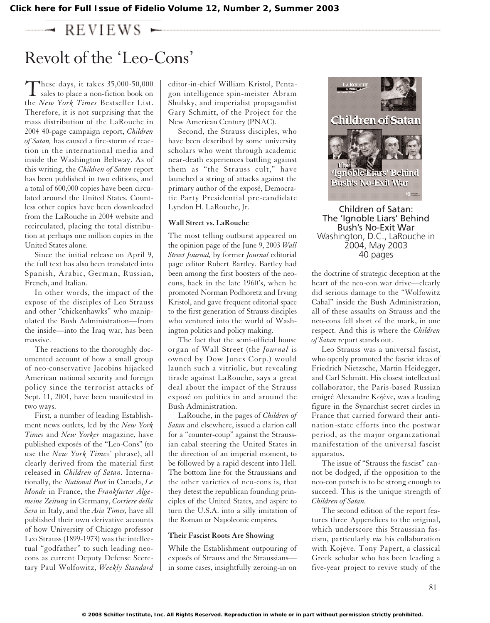$\rightarrow$  REVIEWS  $\leftarrow$ 

# Revolt of the 'Leo-Cons'

These days, it takes  $35,000-50,000$ <br>sales to place a non-fiction book on the *New York Times* Bestseller List. Therefore, it is not surprising that the mass distribution of the LaRouche in 2004 40-page campaign report, *Children of Satan,* has caused a fire-storm of reaction in the international media and inside the Washington Beltway. As of this writing, the *Children of Satan* report has been published in two editions, and a total of 600,000 copies have been circulated around the United States. Countless other copies have been downloaded from the LaRouche in 2004 website and recirculated, placing the total distribution at perhaps one million copies in the United States alone.

Since the initial release on April 9, the full text has also been translated into Spanish, Arabic, German, Russian, French, and Italian.

In other words, the impact of the expose of the disciples of Leo Strauss and other "chickenhawks" who manipulated the Bush Administration—from the inside—into the Iraq war, has been massive.

The reactions to the thoroughly documented account of how a small group of neo-conservative Jacobins hijacked American national security and foreign policy since the terrorist attacks of Sept. 11, 2001, have been manifested in two ways.

First, a number of leading Establishment news outlets, led by the *New York Times* and *New Yorker* magazine, have published exposés of the "Leo-Cons" (to use the *New York Times'* phrase), all clearly derived from the material first released in *Children of Satan.* Internationally, the *National Post* in Canada, *Le Monde* in France, the *Frankfurter Algemeine Zeitung* in Germany, *Corriere della Sera* in Italy, and the *Asia Times,* have all published their own derivative accounts of how University of Chicago professor Leo Strauss (1899-1973) was the intellectual "godfather" to such leading neocons as current Deputy Defense Secretary Paul Wolfowitz, *Weekly Standard* editor-in-chief William Kristol, Pentagon intelligence spin-meister Abram Shulsky, and imperialist propagandist Gary Schmitt, of the Project for the New American Century (PNAC).

Second, the Strauss disciples, who have been described by some university scholars who went through academic near-death experiences battling against them as "the Strauss cult," have launched a string of attacks against the primary author of the exposé, Democratic Party Presidential pre-candidate Lyndon H. LaRouche, Jr.

#### **Wall Street vs. LaRouche**

The most telling outburst appeared on the opinion page of the June 9, 2003 *Wall Street Journal,* by former *Journal* editorial page editor Robert Bartley. Bartley had been among the first boosters of the neocons, back in the late 1960's, when he promoted Norman Podhoretz and Irving Kristol, and gave frequent editorial space to the first generation of Strauss disciples who ventured into the world of Washington politics and policy making.

The fact that the semi-official house organ of Wall Street (the *Journal* is owned by Dow Jones Corp.) would launch such a vitriolic, but revealing tirade against LaRouche, says a great deal about the impact of the Strauss exposé on politics in and around the Bush Administration.

LaRouche, in the pages of *Children of Satan* and elsewhere, issued a clarion call for a "counter-coup" against the Straussian cabal steering the United States in the direction of an imperial moment, to be followed by a rapid descent into Hell. The bottom line for the Straussians and the other varieties of neo-cons is, that they detest the republican founding principles of the United States, and aspire to turn the U.S.A. into a silly imitation of the Roman or Napoleonic empires.

#### **Their Fascist Roots Are Showing**

While the Establishment outpouring of exposés of Strauss and the Straussians in some cases, insightfully zeroing-in on



Children of Satan: The 'Ignoble Liars' Behind Bush's No-Exit War Washington, D.C., LaRouche in 2004, May 2003 40 pages

the doctrine of strategic deception at the heart of the neo-con war drive—clearly did serious damage to the "Wolfowitz Cabal" inside the Bush Administration, all of these assaults on Strauss and the neo-cons fell short of the mark, in one respect. And this is where the *Children of Satan* report stands out.

Leo Strauss was a universal fascist, who openly promoted the fascist ideas of Friedrich Nietzsche, Martin Heidegger, and Carl Schmitt. His closest intellectual collaborator, the Paris-based Russian emigré Alexandre Kojève, was a leading figure in the Synarchist secret circles in France that carried forward their antination-state efforts into the postwar period, as the major organizational manifestation of the universal fascist apparatus.

The issue of "Strauss the fascist" cannot be dodged, if the opposition to the neo-con putsch is to be strong enough to succeed. This is the unique strength of *Children of Satan.*

The second edition of the report features three Appendices to the original, which underscore this Straussian fascism, particularly *via* his collaboration with Kojève. Tony Papert, a classical Greek scholar who has been leading a five-year project to revive study of the